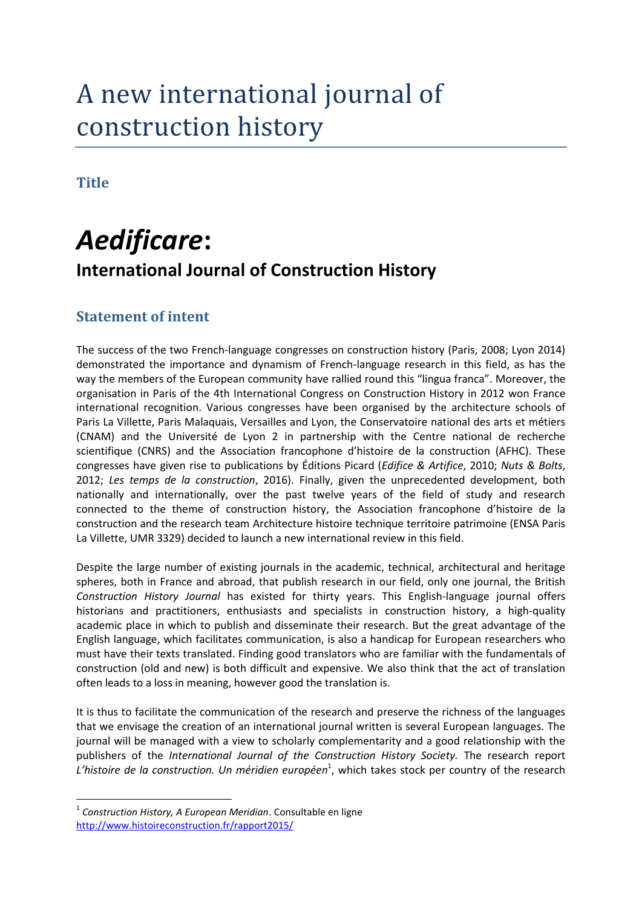# A new international journal of construction history

**Title**

1

# *Aedificare***: International Journal of Construction History**

# **Statement of intent**

The success of the two French-language congresses on construction history (Paris, 2008; Lyon 2014) demonstrated the importance and dynamism of French-language research in this field, as has the way the members of the European community have rallied round this "lingua franca". Moreover, the organisation in Paris of the 4th International Congress on Construction History in 2012 won France international recognition. Various congresses have been organised by the architecture schools of Paris La Villette, Paris Malaquais, Versailles and Lyon, the Conservatoire national des arts et métiers (CNAM) and the Université de Lyon 2 in partnership with the Centre national de recherche scientifique (CNRS) and the Association francophone d'histoire de la construction (AFHC). These congresses have given rise to publications by Éditions Picard (*Edifice & Artifice*, 2010; *Nuts & Bolts*, 2012; *Les temps de la construction*, 2016). Finally, given the unprecedented development, both nationally and internationally, over the past twelve years of the field of study and research connected to the theme of construction history, the Association francophone d'histoire de la construction and the research team Architecture histoire technique territoire patrimoine (ENSA Paris La Villette, UMR 3329) decided to launch a new international review in this field.

Despite the large number of existing journals in the academic, technical, architectural and heritage spheres, both in France and abroad, that publish research in our field, only one journal, the British *Construction History Journal* has existed for thirty years. This English-language journal offers historians and practitioners, enthusiasts and specialists in construction history, a high-quality academic place in which to publish and disseminate their research. But the great advantage of the English language, which facilitates communication, is also a handicap for European researchers who must have their texts translated. Finding good translators who are familiar with the fundamentals of construction (old and new) is both difficult and expensive. We also think that the act of translation often leads to a loss in meaning, however good the translation is.

It is thus to facilitate the communication of the research and preserve the richness of the languages that we envisage the creation of an international journal written is several European languages. The journal will be managed with a view to scholarly complementarity and a good relationship with the publishers of the *International Journal of the Construction History Society.* The research report L'histoire de la construction. Un méridien européen<sup>1</sup>, which takes stock per country of the research

<sup>1</sup> *Construction History, A European Meridian*. Consultable en ligne <http://www.histoireconstruction.fr/rapport2015/>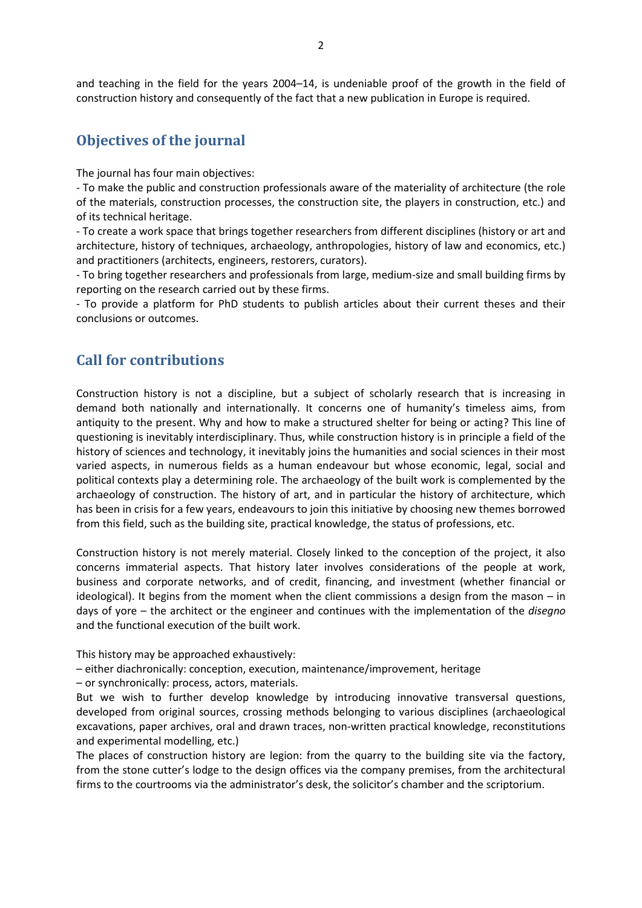and teaching in the field for the years 2004–14, is undeniable proof of the growth in the field of construction history and consequently of the fact that a new publication in Europe is required.

### **Objectives of the journal**

The journal has four main objectives:

- To make the public and construction professionals aware of the materiality of architecture (the role of the materials, construction processes, the construction site, the players in construction, etc.) and of its technical heritage.

- To create a work space that brings together researchers from different disciplines (history or art and architecture, history of techniques, archaeology, anthropologies, history of law and economics, etc.) and practitioners (architects, engineers, restorers, curators).

- To bring together researchers and professionals from large, medium-size and small building firms by reporting on the research carried out by these firms.

- To provide a platform for PhD students to publish articles about their current theses and their conclusions or outcomes.

# **Call for contributions**

Construction history is not a discipline, but a subject of scholarly research that is increasing in demand both nationally and internationally. It concerns one of humanity's timeless aims, from antiquity to the present. Why and how to make a structured shelter for being or acting? This line of questioning is inevitably interdisciplinary. Thus, while construction history is in principle a field of the history of sciences and technology, it inevitably joins the humanities and social sciences in their most varied aspects, in numerous fields as a human endeavour but whose economic, legal, social and political contexts play a determining role. The archaeology of the built work is complemented by the archaeology of construction. The history of art, and in particular the history of architecture, which has been in crisis for a few years, endeavours to join this initiative by choosing new themes borrowed from this field, such as the building site, practical knowledge, the status of professions, etc.

Construction history is not merely material. Closely linked to the conception of the project, it also concerns immaterial aspects. That history later involves considerations of the people at work, business and corporate networks, and of credit, financing, and investment (whether financial or ideological). It begins from the moment when the client commissions a design from the mason – in days of yore – the architect or the engineer and continues with the implementation of the *disegno* and the functional execution of the built work.

This history may be approached exhaustively:

– either diachronically: conception, execution, maintenance/improvement, heritage

– or synchronically: process, actors, materials.

But we wish to further develop knowledge by introducing innovative transversal questions, developed from original sources, crossing methods belonging to various disciplines (archaeological excavations, paper archives, oral and drawn traces, non-written practical knowledge, reconstitutions and experimental modelling, etc.)

The places of construction history are legion: from the quarry to the building site via the factory, from the stone cutter's lodge to the design offices via the company premises, from the architectural firms to the courtrooms via the administrator's desk, the solicitor's chamber and the scriptorium.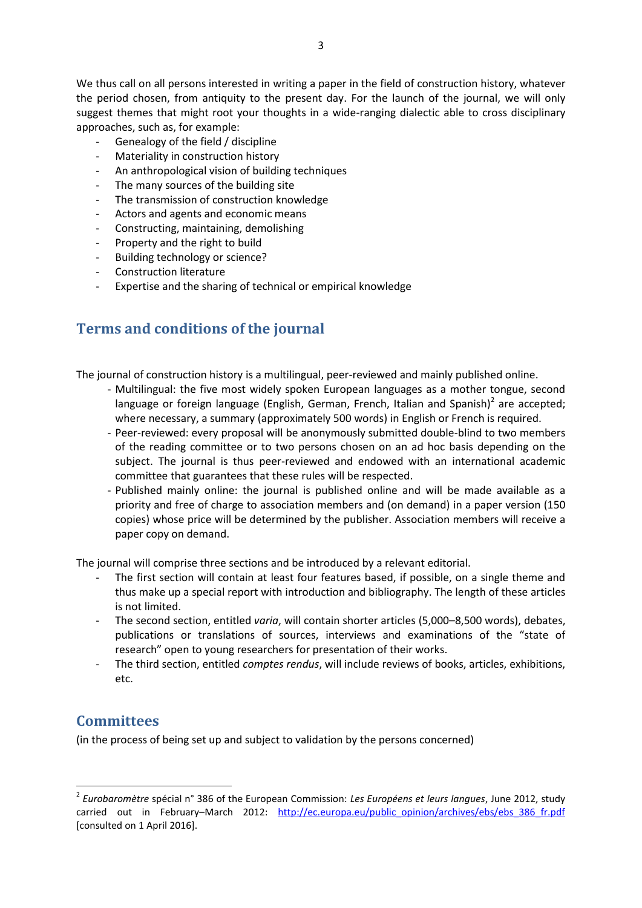We thus call on all persons interested in writing a paper in the field of construction history, whatever the period chosen, from antiquity to the present day. For the launch of the journal, we will only suggest themes that might root your thoughts in a wide-ranging dialectic able to cross disciplinary approaches, such as, for example:

- Genealogy of the field / discipline
- Materiality in construction history
- An anthropological vision of building techniques
- The many sources of the building site
- The transmission of construction knowledge
- Actors and agents and economic means
- Constructing, maintaining, demolishing
- Property and the right to build
- Building technology or science?
- Construction literature
- Expertise and the sharing of technical or empirical knowledge

# **Terms and conditions of the journal**

The journal of construction history is a multilingual, peer-reviewed and mainly published online.

- Multilingual: the five most widely spoken European languages as a mother tongue, second language or foreign language (English, German, French, Italian and Spanish)<sup>2</sup> are accepted; where necessary, a summary (approximately 500 words) in English or French is required.
- Peer-reviewed: every proposal will be anonymously submitted double-blind to two members of the reading committee or to two persons chosen on an ad hoc basis depending on the subject. The journal is thus peer-reviewed and endowed with an international academic committee that guarantees that these rules will be respected.
- Published mainly online: the journal is published online and will be made available as a priority and free of charge to association members and (on demand) in a paper version (150 copies) whose price will be determined by the publisher. Association members will receive a paper copy on demand.

The journal will comprise three sections and be introduced by a relevant editorial.

- The first section will contain at least four features based, if possible, on a single theme and thus make up a special report with introduction and bibliography. The length of these articles is not limited.
- The second section, entitled *varia*, will contain shorter articles (5,000–8,500 words), debates, publications or translations of sources, interviews and examinations of the "state of research" open to young researchers for presentation of their works.
- The third section, entitled *comptes rendus*, will include reviews of books, articles, exhibitions, etc.

# **Committees**

**.** 

(in the process of being set up and subject to validation by the persons concerned)

<sup>2</sup> *Eurobaromètre* spécial n° 386 of the European Commission: *Les Européens et leurs langues*, June 2012, study carried out in February–March 2012: http://ec.europa.eu/public\_opinion/archives/ebs/ebs 386\_fr.pdf [consulted on 1 April 2016].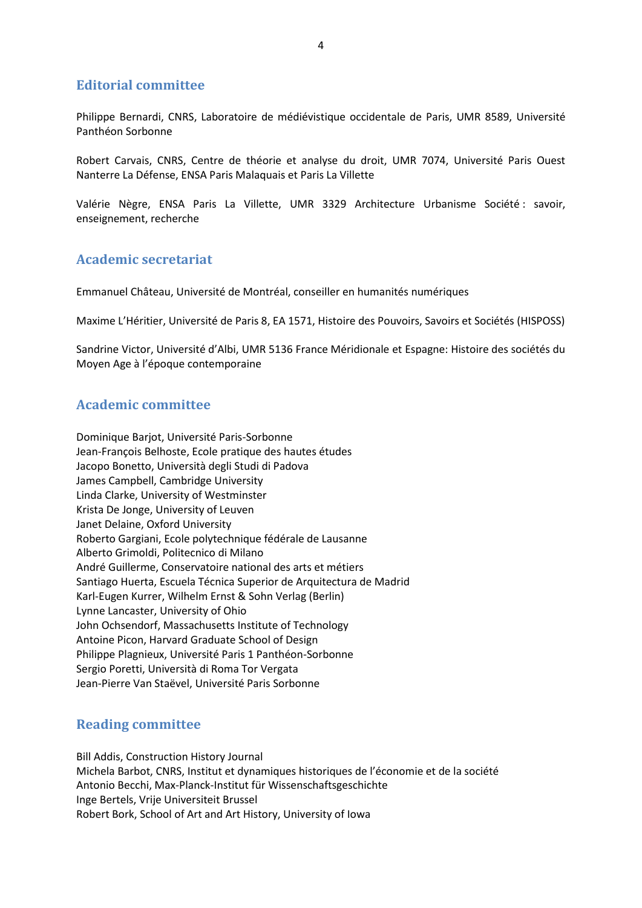#### **Editorial committee**

Philippe Bernardi, CNRS, Laboratoire de médiévistique occidentale de Paris, UMR 8589, Université Panthéon Sorbonne

Robert Carvais, CNRS, Centre de théorie et analyse du droit, UMR 7074, Université Paris Ouest Nanterre La Défense, ENSA Paris Malaquais et Paris La Villette

Valérie Nègre, ENSA Paris La Villette, UMR 3329 Architecture Urbanisme Société : savoir, enseignement, recherche

#### **Academic secretariat**

Emmanuel Château, Université de Montréal, conseiller en humanités numériques

Maxime L'Héritier, Université de Paris 8, EA 1571, Histoire des Pouvoirs, Savoirs et Sociétés (HISPOSS)

Sandrine Victor, Université d'Albi, UMR 5136 France Méridionale et Espagne: Histoire des sociétés du Moyen Age à l'époque contemporaine

#### **Academic committee**

Dominique Barjot, Université Paris-Sorbonne Jean-François Belhoste, Ecole pratique des hautes études Jacopo Bonetto, Università degli Studi di Padova James Campbell, Cambridge University Linda Clarke, University of Westminster Krista De Jonge, University of Leuven Janet Delaine, Oxford University Roberto Gargiani, Ecole polytechnique fédérale de Lausanne Alberto Grimoldi, Politecnico di Milano André Guillerme, Conservatoire national des arts et métiers Santiago Huerta, Escuela Técnica Superior de Arquitectura de Madrid Karl-Eugen Kurrer, Wilhelm Ernst & Sohn Verlag (Berlin) Lynne Lancaster, University of Ohio John Ochsendorf, Massachusetts Institute of Technology Antoine Picon, Harvard Graduate School of Design Philippe Plagnieux, Université Paris 1 Panthéon-Sorbonne Sergio Poretti, Università di Roma Tor Vergata Jean-Pierre Van Staëvel, Université Paris Sorbonne

#### **Reading committee**

Bill Addis, Construction History Journal Michela Barbot, CNRS, Institut et dynamiques historiques de l'économie et de la société Antonio Becchi, Max-Planck-Institut für Wissenschaftsgeschichte Inge Bertels, Vrije Universiteit Brussel Robert Bork, School of Art and Art History, University of Iowa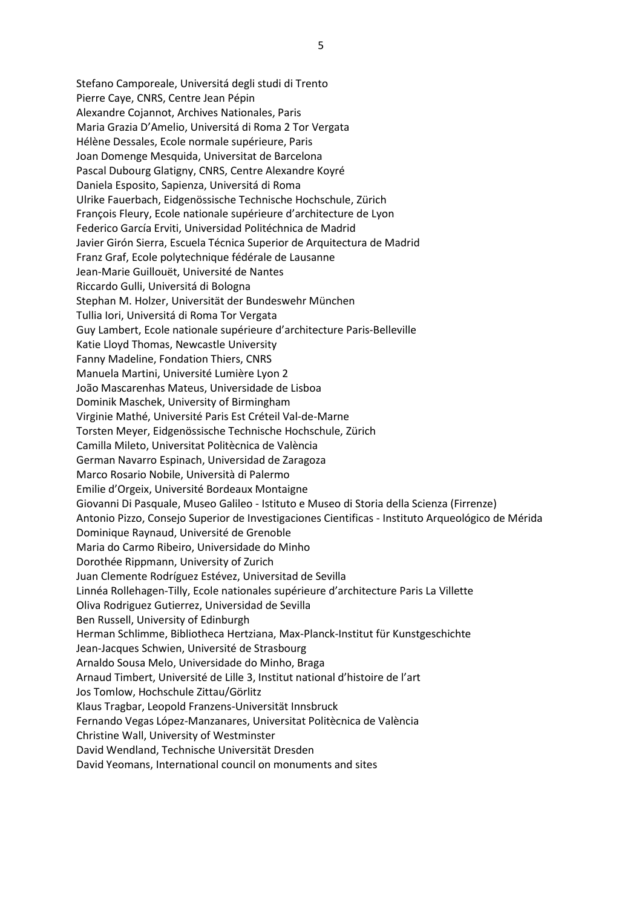Stefano Camporeale, Universitá degli studi di Trento Pierre Caye, CNRS, Centre Jean Pépin Alexandre Cojannot, Archives Nationales, Paris Maria Grazia D'Amelio, Universitá di Roma 2 Tor Vergata Hélène Dessales, Ecole normale supérieure, Paris Joan Domenge Mesquida, Universitat de Barcelona Pascal Dubourg Glatigny, CNRS, Centre Alexandre Koyré Daniela Esposito, Sapienza, Universitá di Roma Ulrike Fauerbach, Eidgenössische Technische Hochschule, Zürich François Fleury, Ecole nationale supérieure d'architecture de Lyon Federico García Erviti, Universidad Politéchnica de Madrid Javier Girón Sierra, Escuela Técnica Superior de Arquitectura de Madrid Franz Graf, Ecole polytechnique fédérale de Lausanne Jean-Marie Guillouët, Université de Nantes Riccardo Gulli, Universitá di Bologna Stephan M. Holzer, Universität der Bundeswehr München Tullia Iori, Universitá di Roma Tor Vergata Guy Lambert, Ecole nationale supérieure d'architecture Paris-Belleville Katie Lloyd Thomas, Newcastle University Fanny Madeline, Fondation Thiers, CNRS Manuela Martini, Université Lumière Lyon 2 João Mascarenhas Mateus, Universidade de Lisboa Dominik Maschek, University of Birmingham Virginie Mathé, Université Paris Est Créteil Val-de-Marne Torsten Meyer, Eidgenössische Technische Hochschule, Zürich Camilla Mileto, Universitat Politècnica de València German Navarro Espinach, Universidad de Zaragoza Marco Rosario Nobile, Università di Palermo Emilie d'Orgeix, Université Bordeaux Montaigne Giovanni Di Pasquale, Museo Galileo - Istituto e Museo di Storia della Scienza (Firrenze) Antonio Pizzo, Consejo Superior de Investigaciones Cientificas - Instituto Arqueológico de Mérida Dominique Raynaud, Université de Grenoble Maria do Carmo Ribeiro, Universidade do Minho Dorothée Rippmann, University of Zurich Juan Clemente Rodríguez Estévez, Universitad de Sevilla Linnéa Rollehagen-Tilly, Ecole nationales supérieure d'architecture Paris La Villette Oliva Rodriguez Gutierrez, Universidad de Sevilla Ben Russell, University of Edinburgh Herman Schlimme, Bibliotheca Hertziana, Max-Planck-Institut für Kunstgeschichte Jean-Jacques Schwien, Université de Strasbourg Arnaldo Sousa Melo, Universidade do Minho, Braga Arnaud Timbert, Université de Lille 3, Institut national d'histoire de l'art Jos Tomlow, Hochschule Zittau/Görlitz Klaus Tragbar, Leopold Franzens-Universität Innsbruck Fernando Vegas López-Manzanares, Universitat Politècnica de València Christine Wall, University of Westminster David Wendland, Technische Universität Dresden David Yeomans, International council on monuments and sites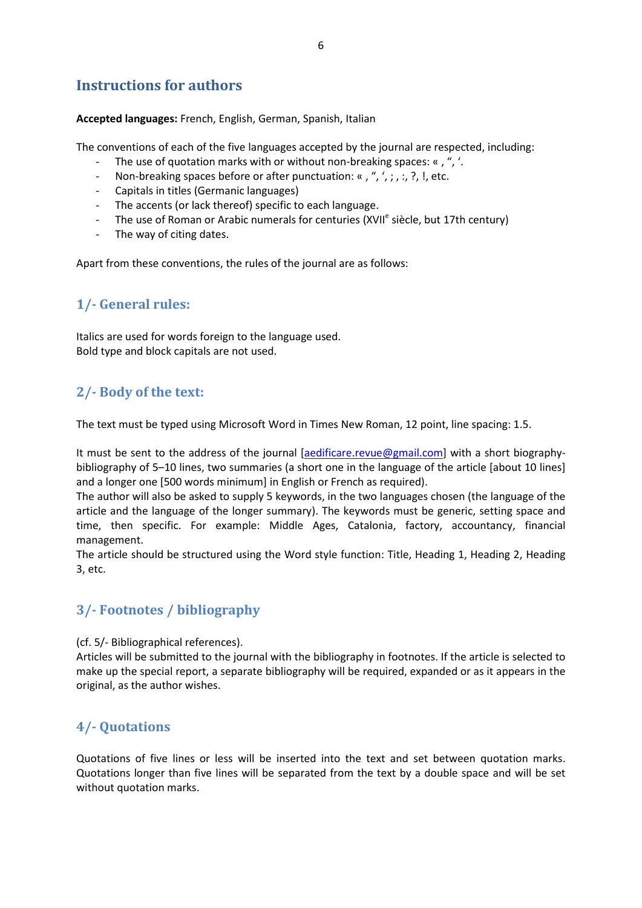# **Instructions for authors**

**Accepted languages:** French, English, German, Spanish, Italian

The conventions of each of the five languages accepted by the journal are respected, including:

- The use of quotation marks with or without non-breaking spaces: «, ", '.
- Non-breaking spaces before or after punctuation: «, ", ', ;, :, ?, !, etc.
- Capitals in titles (Germanic languages)
- The accents (or lack thereof) specific to each language.
- The use of Roman or Arabic numerals for centuries (XVII<sup>e</sup> siècle, but 17th century)
- The way of citing dates.

Apart from these conventions, the rules of the journal are as follows:

# **1/- General rules:**

Italics are used for words foreign to the language used. Bold type and block capitals are not used.

# **2/- Body of the text:**

The text must be typed using Microsoft Word in Times New Roman, 12 point, line spacing: 1.5.

It must be sent to the address of the journal [\[aedificare.revue@gmail.com\]](mailto:aedificare.revue@gmail.com) with a short biographybibliography of 5–10 lines, two summaries (a short one in the language of the article [about 10 lines] and a longer one [500 words minimum] in English or French as required).

The author will also be asked to supply 5 keywords, in the two languages chosen (the language of the article and the language of the longer summary). The keywords must be generic, setting space and time, then specific. For example: Middle Ages, Catalonia, factory, accountancy, financial management.

The article should be structured using the Word style function: Title, Heading 1, Heading 2, Heading 3, etc.

# **3/- Footnotes / bibliography**

(cf. 5/- Bibliographical references).

Articles will be submitted to the journal with the bibliography in footnotes. If the article is selected to make up the special report, a separate bibliography will be required, expanded or as it appears in the original, as the author wishes.

#### **4/- Quotations**

Quotations of five lines or less will be inserted into the text and set between quotation marks. Quotations longer than five lines will be separated from the text by a double space and will be set without quotation marks.